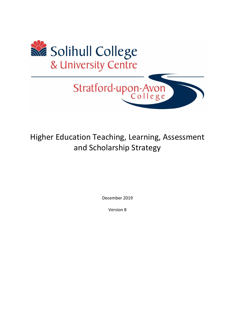

# Higher Education Teaching, Learning, Assessment and Scholarship Strategy

December 2019

Version 8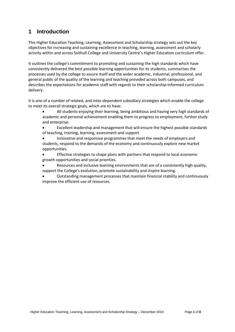### **1 Introduction**

This Higher Education Teaching, Learning, Assessment and Scholarship strategy sets out the key objectives for increasing and sustaining excellence in teaching, learning, assessment and scholarly activity within and across Solihull College and University Centre's Higher Education curriculum offer.

It outlines the college's commitment to promoting and sustaining the high standards which have consistently delivered the best possible learning opportunities for its students, summarises the processes used by the college to assure itself and the wider academic, industrial, professional, and general public of the quality of the learning and teaching provided across both campuses, and describes the expectations for academic staff with regards to their scholarship-informed curriculum delivery.

It is one of a number of related, and inter-dependent subsidiary strategies which enable the college to meet its overall strategic goals, which are to have:

- All students enjoying their learning, being ambitious and having very high standards of academic and personal achievement enabling them to progress to employment, further study and enterprise.
- Excellent leadership and management that will ensure the highest possible standards of teaching, training, learning, assessment and support.
- Innovative and responsive programmes that meet the needs of employers and students, respond to the demands of the economy and continuously explore new market opportunities.
- Effective strategies to shape plans with partners that respond to local economic growth opportunities and social priorities.
- Resources and inclusive learning environments that are of a consistently high quality, support the College's evolution, promote sustainability and inspire learning.
- Outstanding management processes that maintain financial stability and continuously improve the efficient use of resources.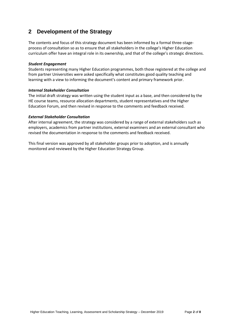### **2 Development of the Strategy**

The contents and focus of this strategy document has been informed by a formal three-stageprocess of consultation so as to ensure that all stakeholders in the college's Higher Education curriculum offer have an integral role in its ownership, and that of the college's strategic directions.

#### *Student Engagement*

Students representing many Higher Education programmes, both those registered at the college and from partner Universities were asked specifically what constitutes good quality teaching and learning with a view to informing the document's content and primary framework prior.

### *Internal Stakeholder Consultation*

The initial draft strategy was written using the student input as a base, and then considered by the HE course teams, resource allocation departments, student representatives and the Higher Education Forum, and then revised in response to the comments and feedback received.

### *External Stakeholder Consultation*

After internal agreement, the strategy was considered by a range of external stakeholders such as employers, academics from partner institutions, external examiners and an external consultant who revised the documentation in response to the comments and feedback received.

This final version was approved by all stakeholder groups prior to adoption, and is annually monitored and reviewed by the Higher Education Strategy Group.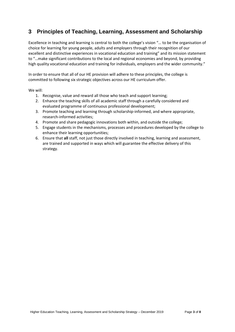## **3 Principles of Teaching, Learning, Assessment and Scholarship**

Excellence in teaching and learning is central to both the college's vision "… to be the organisation of choice for learning for young people, adults and employers through their recognition of our excellent and distinctive experiences in vocational education and training" and its mission statement to "…make significant contributions to the local and regional economies and beyond, by providing high quality vocational education and training for individuals, employers and the wider community."

In order to ensure that all of our HE provision will adhere to these principles, the college is committed to following six strategic objectives across our HE curriculum offer.

We will:

- 1. Recognise, value and reward all those who teach and support learning;
- 2. Enhance the teaching skills of all academic staff through a carefully considered and evaluated programme of continuous professional development;
- 3. Promote teaching and learning through scholarship-informed, and where appropriate, research-informed activities;
- 4. Promote and share pedagogic innovations both within, and outside the college;
- 5. Engage students in the mechanisms, processes and procedures developed by the college to enhance their learning opportunities;
- 6. Ensure that **all** staff, not just those directly involved in teaching, learning and assessment, are trained and supported in ways which will guarantee the effective delivery of this strategy.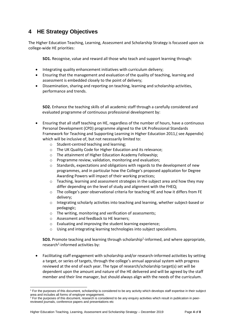### **4 HE Strategy Objectives**

The Higher Education Teaching, Learning, Assessment and Scholarship Strategy is focussed upon six college-wide HE priorities:

**SO1.** Recognise, value and reward all those who teach and support learning through:

- Integrating quality enhancement initiatives with curriculum delivery;
- Ensuring that the management and evaluation of the quality of teaching, learning and assessment is embedded closely to the point of delivery;
- Dissemination, sharing and reporting on teaching, learning and scholarship activities, performance and trends.

**SO2.** Enhance the teaching skills of all academic staff through a carefully considered and evaluated programme of continuous professional development by:

- Ensuring that all staff teaching on HE, regardless of the number of hours, have a continuous Personal Development (CPD) programme aligned to the UK Professional Standards Framework for Teaching and Supporting Learning in Higher Education 2011,( see Appendix) which will be inclusive of, but not necessarily limited to:
	- o Student-centred teaching and learning;
	- o The UK Quality Code for Higher Education and its relevance;
	- o The attainment of Higher Education Academy Fellowship;
	- o Programme review, validation, monitoring and evaluation;
	- $\circ$  Standards, expectations and obligations with regards to the development of new programmes, and in particular how the College's proposed application for Degree Awarding Powers will impact of their working practices;
	- $\circ$  Teaching, learning and assessment strategies in the subject area and how they may differ depending on the level of study and alignment with the FHEQ;
	- $\circ$  The college's peer observational criteria for teaching HE and how it differs from FE delivery;
	- o Integrating scholarly activities into teaching and learning, whether subject-based or pedagogic;
	- o The writing, monitoring and verification of assessments;
	- o Assessment and feedback to HE learners;
	- o Evaluating and improving the student learning experience;
	- o Using and integrating learning technologies into subject specialisms.

**SO3.** Promote teaching and learning through scholarship<sup>1</sup>-informed, and where appropriate, research<sup>2</sup>-informed activities by:

• Facilitating staff engagement with scholarship and/or research-informed activities by setting a target, or series of targets, through the college's annual appraisal system with progress reviewed at the end of each year. The type of research/scholarship target(s) set will be dependent upon the amount and nature of the HE delivered and will be agreed by the staff member and their line manager, but should always align with the needs of the curriculum.

<sup>1</sup> For the purposes of this document, scholarship is considered to be any activity which develops staff expertise in their subject area and includes all forms of employer engagement.

<sup>&</sup>lt;sup>2</sup> For the purposes of this document, research is considered to be any enquiry activities which result in publication in peerreviewed journals, conference papers and presentations etc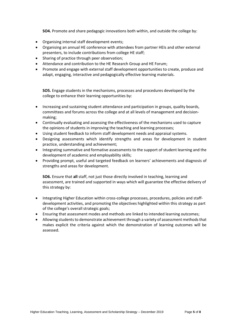**SO4.** Promote and share pedagogic innovations both within, and outside the college by:

- Organising internal staff development events;
- Organising an annual HE conference with attendees from partner HEIs and other external presenters, to include contributions from college HE staff;
- Sharing of practice through peer observation;
- Attendance and contribution to the HE Research Group and HE Forum;
- Promote and engage with external staff development opportunities to create, produce and adapt, engaging, interactive and pedagogically effective learning materials.

**SO5.** Engage students in the mechanisms, processes and procedures developed by the college to enhance their learning opportunities by:

- Increasing and sustaining student attendance and participation in groups, quality boards, committees and forums across the college and at all levels of management and decisionmaking;
- Continually evaluating and assessing the effectiveness of the mechanisms used to capture the opinions of students in improving the teaching and learning processes;
- Using student feedback to inform staff development needs and appraisal systems.
- Designing assessments which identify strengths and areas for development in student practice, understanding and achievement;
- Integrating summative and formative assessments to the support of student learning and the development of academic and employability skills;
- Providing prompt, useful and targeted feedback on learners' achievements and diagnosis of strengths and areas for development.

**SO6.** Ensure that **all** staff, not just those directly involved in teaching, learning and assessment, are trained and supported in ways which will guarantee the effective delivery of this strategy by:

- Integrating Higher Education within cross-college processes, procedures, policies and staffdevelopment activities, and promoting the objectives highlighted within this strategy as part of the college's overall strategic goals;
- Ensuring that assessment modes and methods are linked to intended learning outcomes;
- Allowing students to demonstrate achievement through a variety of assessment methods that makes explicit the criteria against which the demonstration of learning outcomes will be assessed.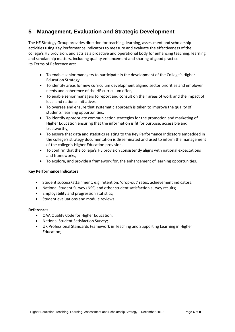### **5 Management, Evaluation and Strategic Development**

The HE Strategy Group provides direction for teaching, learning, assessment and scholarship activities using Key Performance Indicators to measure and evaluate the effectiveness of the college's HE provision, and acts as a proactive and operational body for enhancing teaching, learning and scholarship matters, including quality enhancement and sharing of good practice. Its Terms of Reference are:

- To enable senior managers to participate in the development of the College's Higher Education Strategy,
- To identify areas for new curriculum development aligned sector priorities and employer needs and coherence of the HE curriculum offer,
- To enable senior managers to report and consult on their areas of work and the impact of local and national initiatives,
- To oversee and ensure that systematic approach is taken to improve the quality of students' learning opportunities,
- To identify appropriate communication strategies for the promotion and marketing of Higher Education ensuring that the information is fit for purpose, accessible and trustworthy,
- To ensure that data and statistics relating to the Key Performance Indicators embedded in the college's strategy documentation is disseminated and used to inform the management of the college's Higher Education provision,
- To confirm that the college's HE provision consistently aligns with national expectations and frameworks,
- To explore, and provide a framework for, the enhancement of learning opportunities.

#### **Key Performance Indicators**

- Student success/attainment: e.g. retention, 'drop-out' rates, achievement indicators;
- National Student Survey (NSS) and other student satisfaction survey results;
- Employability and progression statistics;
- Student evaluations and module reviews

#### **References**

- QAA Quality Code for Higher Education,
- National Student Satisfaction Survey;
- UK Professional Standards Framework in Teaching and Supporting Learning in Higher Education;